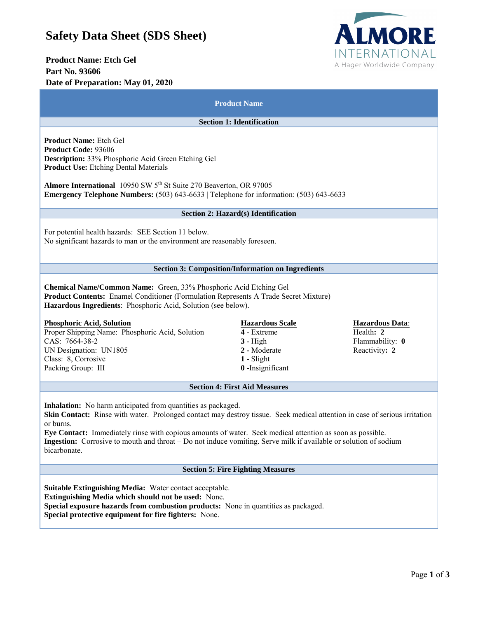## **Safety Data Sheet (SDS Sheet)**

# **Product Name: Etch Gel Part No. 93606**



| Date of Preparation: May 01, 2020                                                                                                                                                                                                                                                                                                                                                                                                                               |                                                                                                         |                                                                         |
|-----------------------------------------------------------------------------------------------------------------------------------------------------------------------------------------------------------------------------------------------------------------------------------------------------------------------------------------------------------------------------------------------------------------------------------------------------------------|---------------------------------------------------------------------------------------------------------|-------------------------------------------------------------------------|
| <b>Product Name</b><br><b>Section 1: Identification</b>                                                                                                                                                                                                                                                                                                                                                                                                         |                                                                                                         |                                                                         |
|                                                                                                                                                                                                                                                                                                                                                                                                                                                                 |                                                                                                         |                                                                         |
| Almore International 10950 SW 5 <sup>th</sup> St Suite 270 Beaverton, OR 97005<br><b>Emergency Telephone Numbers:</b> $(503)$ $643-6633$   Telephone for information: $(503)$ $643-6633$                                                                                                                                                                                                                                                                        |                                                                                                         |                                                                         |
| <b>Section 2: Hazard(s) Identification</b>                                                                                                                                                                                                                                                                                                                                                                                                                      |                                                                                                         |                                                                         |
| For potential health hazards: SEE Section 11 below.<br>No significant hazards to man or the environment are reasonably foreseen.                                                                                                                                                                                                                                                                                                                                |                                                                                                         |                                                                         |
|                                                                                                                                                                                                                                                                                                                                                                                                                                                                 | <b>Section 3: Composition/Information on Ingredients</b>                                                |                                                                         |
| Chemical Name/Common Name: Green, 33% Phosphoric Acid Etching Gel<br>Product Contents: Enamel Conditioner (Formulation Represents A Trade Secret Mixture)<br>Hazardous Ingredients: Phosphoric Acid, Solution (see below).<br><b>Phosphoric Acid, Solution</b><br>Proper Shipping Name: Phosphoric Acid, Solution<br>CAS: 7664-38-2<br>UN Designation: UN1805<br>Class: 8, Corrosive<br>Packing Group: III                                                      | <b>Hazardous Scale</b><br>4 - Extreme<br>$3 - High$<br>2 - Moderate<br>$1 - S$ light<br>0-Insignificant | <b>Hazardous Data:</b><br>Health: 2<br>Flammability: 0<br>Reactivity: 2 |
|                                                                                                                                                                                                                                                                                                                                                                                                                                                                 | <b>Section 4: First Aid Measures</b>                                                                    |                                                                         |
| <b>Inhalation:</b> No harm anticipated from quantities as packaged.<br>Skin Contact: Rinse with water. Prolonged contact may destroy tissue. Seek medical attention in case of serious irritation<br>or burns.<br>Eye Contact: Immediately rinse with copious amounts of water. Seek medical attention as soon as possible.<br>Ingestion: Corrosive to mouth and throat - Do not induce vomiting. Serve milk if available or solution of sodium<br>bicarbonate. |                                                                                                         |                                                                         |
|                                                                                                                                                                                                                                                                                                                                                                                                                                                                 | <b>Section 5: Fire Fighting Measures</b>                                                                |                                                                         |
| Suitable Extinguishing Media: Water contact acceptable.<br>Extinguishing Media which should not be used: None.<br>Special exposure hazards from combustion products: None in quantities as packaged.<br>Special protective equipment for fire fighters: None.                                                                                                                                                                                                   |                                                                                                         |                                                                         |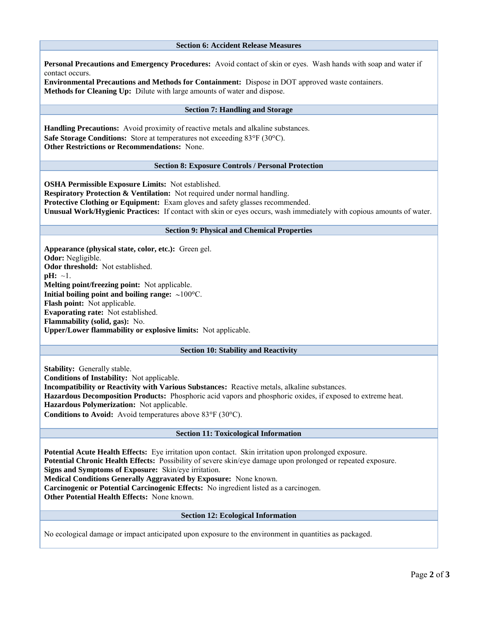#### **Section 6: Accident Release Measures**

**Personal Precautions and Emergency Procedures:** Avoid contact of skin or eyes. Wash hands with soap and water if contact occurs.

**Environmental Precautions and Methods for Containment:** Dispose in DOT approved waste containers. **Methods for Cleaning Up:** Dilute with large amounts of water and dispose.

### **Section 7: Handling and Storage**

**Handling Precautions:** Avoid proximity of reactive metals and alkaline substances. **Safe Storage Conditions:** Store at temperatures not exceeding 83°F (30°C). **Other Restrictions or Recommendations:** None.

#### **Section 8: Exposure Controls / Personal Protection**

**OSHA Permissible Exposure Limits:** Not established. **Respiratory Protection & Ventilation:** Not required under normal handling. **Protective Clothing or Equipment:** Exam gloves and safety glasses recommended. **Unusual Work/Hygienic Practices:** If contact with skin or eyes occurs, wash immediately with copious amounts of water.

#### **Section 9: Physical and Chemical Properties**

**Appearance (physical state, color, etc.):** Green gel. **Odor:** Negligible. **Odor threshold:** Not established.  $pH: \sim 1$ . **Melting point/freezing point:** Not applicable. **Initial boiling point and boiling range:**  $\sim 100^{\circ}$ C. **Flash point:** Not applicable. **Evaporating rate:** Not established. **Flammability (solid, gas):** No. **Upper/Lower flammability or explosive limits:** Not applicable.

#### **Section 10: Stability and Reactivity**

**Stability:** Generally stable.

**Conditions of Instability:** Not applicable.

**Incompatibility or Reactivity with Various Substances:** Reactive metals, alkaline substances.

**Hazardous Decomposition Products:** Phosphoric acid vapors and phosphoric oxides, if exposed to extreme heat. **Hazardous Polymerization:** Not applicable.

**Conditions to Avoid:** Avoid temperatures above 83°F (30°C).

#### **Section 11: Toxicological Information**

**Potential Acute Health Effects:** Eye irritation upon contact. Skin irritation upon prolonged exposure. **Potential Chronic Health Effects:** Possibility of severe skin/eye damage upon prolonged or repeated exposure. **Signs and Symptoms of Exposure:** Skin/eye irritation.

**Medical Conditions Generally Aggravated by Exposure:** None known.

**Carcinogenic or Potential Carcinogenic Effects:** No ingredient listed as a carcinogen.

**Other Potential Health Effects:** None known.

#### **Section 12: Ecological Information**

No ecological damage or impact anticipated upon exposure to the environment in quantities as packaged.